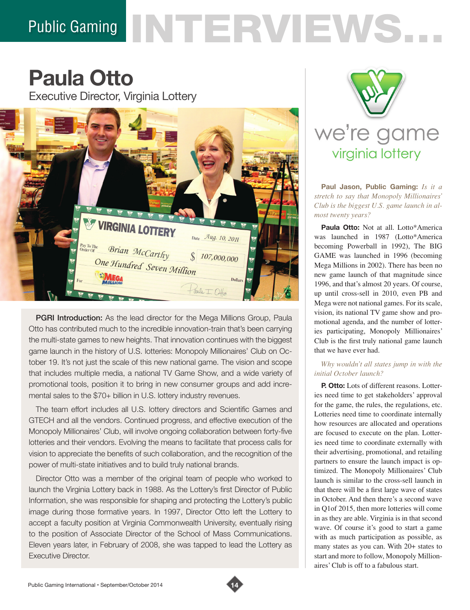# Public Gaming NTERVIEWS.

# **Paula Otto**

Executive Director, Virginia Lottery



PGRI Introduction: As the lead director for the Mega Millions Group, Paula Otto has contributed much to the incredible innovation-train that's been carrying the multi-state games to new heights. That innovation continues with the biggest game launch in the history of U.S. lotteries: Monopoly Millionaires' Club on October 19. It's not just the scale of this new national game. The vision and scope that includes multiple media, a national TV Game Show, and a wide variety of promotional tools, position it to bring in new consumer groups and add incremental sales to the \$70+ billion in U.S. lottery industry revenues.

The team effort includes all U.S. lottery directors and Scientific Games and GTECH and all the vendors. Continued progress, and effective execution of the Monopoly Millionaires' Club, will involve ongoing collaboration between forty-five lotteries and their vendors. Evolving the means to facilitate that process calls for vision to appreciate the benefits of such collaboration, and the recognition of the power of multi-state initiatives and to build truly national brands.

Director Otto was a member of the original team of people who worked to launch the Virginia Lottery back in 1988. As the Lottery's first Director of Public Information, she was responsible for shaping and protecting the Lottery's public image during those formative years. In 1997, Director Otto left the Lottery to accept a faculty position at Virginia Commonwealth University, eventually rising to the position of Associate Director of the School of Mass Communications. Eleven years later, in February of 2008, she was tapped to lead the Lottery as Executive Director.



**Paul Jason, Public Gaming:** *Is it a stretch to say that Monopoly Millionaires' Club is the biggest U.S. game launch in almost twenty years?*

**Paula Otto:** Not at all. Lotto\*America was launched in 1987 (Lotto\*America becoming Powerball in 1992), The BIG GAME was launched in 1996 (becoming Mega Millions in 2002). There has been no new game launch of that magnitude since 1996, and that's almost 20 years. Of course, up until cross-sell in 2010, even PB and Mega were not national games. For its scale, vision, its national TV game show and promotional agenda, and the number of lotteries participating, Monopoly Millionaires' Club is the first truly national game launch that we have ever had.

# *Why wouldn't all states jump in with the initial October launch?*

**P. Otto:** Lots of different reasons. Lotteries need time to get stakeholders' approval for the game, the rules, the regulations, etc. Lotteries need time to coordinate internally how resources are allocated and operations are focused to execute on the plan. Lotteries need time to coordinate externally with their advertising, promotional, and retailing partners to ensure the launch impact is optimized. The Monopoly Millionaires' Club launch is similar to the cross-sell launch in that there will be a first large wave of states in October. And then there's a second wave in Q1of 2015, then more lotteries will come in as they are able. Virginia is in that second wave. Of course it's good to start a game with as much participation as possible, as many states as you can. With 20+ states to start and more to follow, Monopoly Millionaires' Club is off to a fabulous start.

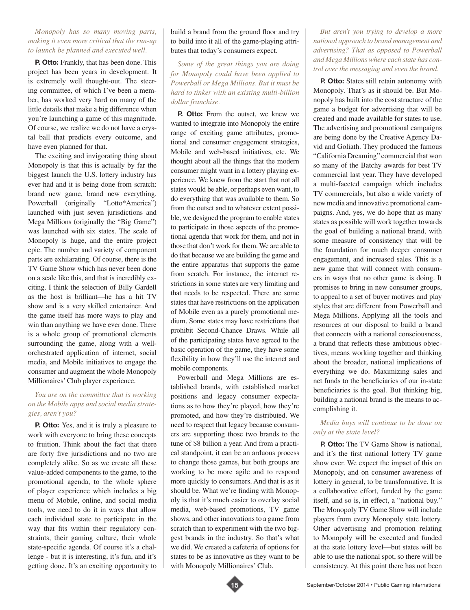#### *Monopoly has so many moving parts, making it even more critical that the run-up to launch be planned and executed well.*

**P. Otto:** Frankly, that has been done. This project has been years in development. It is extremely well thought-out. The steering committee, of which I've been a member, has worked very hard on many of the little details that make a big difference when you're launching a game of this magnitude. Of course, we realize we do not have a crystal ball that predicts every outcome, and have even planned for that.

The exciting and invigorating thing about Monopoly is that this is actually by far the biggest launch the U.S. lottery industry has ever had and it is being done from scratch: brand new game, brand new everything. Powerball (originally "Lotto\*America") launched with just seven jurisdictions and Mega Millions (originally the "Big Game") was launched with six states. The scale of Monopoly is huge, and the entire project epic. The number and variety of component parts are exhilarating. Of course, there is the TV Game Show which has never been done on a scale like this, and that is incredibly exciting. I think the selection of Billy Gardell as the host is brilliant—he has a hit TV show and is a very skilled entertainer. And the game itself has more ways to play and win than anything we have ever done. There is a whole group of promotional elements surrounding the game, along with a wellorchestrated application of internet, social media, and Mobile initiatives to engage the consumer and augment the whole Monopoly Millionaires' Club player experience.

#### *You are on the committee that is working on the Mobile apps and social media strategies, aren't you?*

**P. Otto:** Yes, and it is truly a pleasure to work with everyone to bring these concepts to fruition. Think about the fact that there are forty five jurisdictions and no two are completely alike. So as we create all these value-added components to the game, to the promotional agenda, to the whole sphere of player experience which includes a big menu of Mobile, online, and social media tools, we need to do it in ways that allow each individual state to participate in the way that fits within their regulatory constraints, their gaming culture, their whole state-specific agenda. Of course it's a challenge - but it is interesting, it's fun, and it's getting done. It's an exciting opportunity to

#### build a brand from the ground floor and try to build into it all of the game-playing attributes that today's consumers expect.

*Some of the great things you are doing for Monopoly could have been applied to Powerball or Mega Millions. But it must be hard to tinker with an existing multi-billion dollar franchise.* 

**P. Otto:** From the outset, we knew we wanted to integrate into Monopoly the entire range of exciting game attributes, promotional and consumer engagement strategies, Mobile and web-based initiatives, etc. We thought about all the things that the modern consumer might want in a lottery playing experience. We knew from the start that not all states would be able, or perhaps even want, to do everything that was available to them. So from the outset and to whatever extent possible, we designed the program to enable states to participate in those aspects of the promotional agenda that work for them, and not in those that don't work for them. We are able to do that because we are building the game and the entire apparatus that supports the game from scratch. For instance, the internet restrictions in some states are very limiting and that needs to be respected. There are some states that have restrictions on the application of Mobile even as a purely promotional medium. Some states may have restrictions that prohibit Second-Chance Draws. While all of the participating states have agreed to the basic operation of the game, they have some flexibility in how they'll use the internet and mobile components.

Powerball and Mega Millions are established brands, with established market positions and legacy consumer expectations as to how they're played, how they're promoted, and how they're distributed. We need to respect that legacy because consumers are supporting those two brands to the tune of \$8 billion a year. And from a practical standpoint, it can be an arduous process to change those games, but both groups are working to be more agile and to respond more quickly to consumers. And that is as it should be. What we're finding with Monopoly is that it's much easier to overlay social media, web-based promotions, TV game shows, and other innovations to a game from scratch than to experiment with the two biggest brands in the industry. So that's what we did. We created a cafeteria of options for states to be as innovative as they want to be with Monopoly Millionaires' Club.



*But aren't you trying to develop a more national approach to brand management and advertising? That as opposed to Powerball and Mega Millions where each state has control over the messaging and even the brand.* 

**P. Otto:** States still retain autonomy with Monopoly. That's as it should be. But Monopoly has built into the cost structure of the game a budget for advertising that will be created and made available for states to use. The advertising and promotional campaigns are being done by the Creative Agency David and Goliath. They produced the famous "California Dreaming" commercial that won so many of the Batchy awards for best TV commercial last year. They have developed a multi-faceted campaign which includes TV commercials, but also a wide variety of new media and innovative promotional campaigns. And, yes, we do hope that as many states as possible will work together towards the goal of building a national brand, with some measure of consistency that will be the foundation for much deeper consumer engagement, and increased sales. This is a new game that will connect with consumers in ways that no other game is doing. It promises to bring in new consumer groups, to appeal to a set of buyer motives and play styles that are different from Powerball and Mega Millions. Applying all the tools and resources at our disposal to build a brand that connects with a national consciousness, a brand that reflects these ambitious objectives, means working together and thinking about the broader, national implications of everything we do. Maximizing sales and net funds to the beneficiaries of our in-state beneficiaries is the goal. But thinking big, building a national brand is the means to accomplishing it.

#### *Media buys will continue to be done on only at the state level?*

**P. Otto:** The TV Game Show is national, and it's the first national lottery TV game show ever. We expect the impact of this on Monopoly, and on consumer awareness of lottery in general, to be transformative. It is a collaborative effort, funded by the game itself, and so is, in effect, a "national buy." The Monopoly TV Game Show will include players from every Monopoly state lottery. Other advertising and promotion relating to Monopoly will be executed and funded at the state lottery level—but states will be able to use the national spot, so there will be consistency. At this point there has not been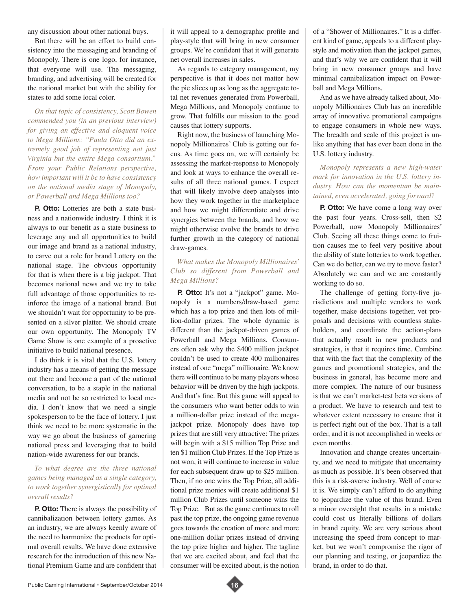any discussion about other national buys.

But there will be an effort to build consistency into the messaging and branding of Monopoly. There is one logo, for instance, that everyone will use. The messaging, branding, and advertising will be created for the national market but with the ability for states to add some local color.

*On that topic of consistency, Scott Bowen commended you (in an previous interview) for giving an effective and eloquent voice to Mega Millions: "Paula Otto did an extremely good job of representing not just Virginia but the entire Mega consortium." From your Public Relations perspective, how important will it be to have consistency on the national media stage of Monopoly, or Powerball and Mega Millions too?* 

**P.** Otto: Lotteries are both a state business and a nationwide industry. I think it is always to our benefit as a state business to leverage any and all opportunities to build our image and brand as a national industry, to carve out a role for brand Lottery on the national stage. The obvious opportunity for that is when there is a big jackpot. That becomes national news and we try to take full advantage of those opportunities to reinforce the image of a national brand. But we shouldn't wait for opportunity to be presented on a silver platter. We should create our own opportunity. The Monopoly TV Game Show is one example of a proactive initiative to build national presence.

I do think it is vital that the U.S. lottery industry has a means of getting the message out there and become a part of the national conversation, to be a staple in the national media and not be so restricted to local media. I don't know that we need a single spokesperson to be the face of lottery. I just think we need to be more systematic in the way we go about the business of garnering national press and leveraging that to build nation-wide awareness for our brands.

### *To what degree are the three national games being managed as a single category, to work together synergistically for optimal overall results?*

**P. Otto:** There is always the possibility of cannibalization between lottery games. As an industry, we are always keenly aware of the need to harmonize the products for optimal overall results. We have done extensive research for the introduction of this new National Premium Game and are confident that

it will appeal to a demographic profile and play-style that will bring in new consumer groups. We're confident that it will generate net overall increases in sales.

As regards to category management, my perspective is that it does not matter how the pie slices up as long as the aggregate total net revenues generated from Powerball, Mega Millions, and Monopoly continue to grow. That fulfills our mission to the good causes that lottery supports.

Right now, the business of launching Monopoly Millionaires' Club is getting our focus. As time goes on, we will certainly be assessing the market-response to Monopoly and look at ways to enhance the overall results of all three national games. I expect that will likely involve deep analyses into how they work together in the marketplace and how we might differentiate and drive synergies between the brands, and how we might otherwise evolve the brands to drive further growth in the category of national draw-games.

## *What makes the Monopoly Millionaires' Club so different from Powerball and Mega Millions?*

**P.** Otto: It's not a "jackpot" game. Monopoly is a numbers/draw-based game which has a top prize and then lots of million-dollar prizes. The whole dynamic is different than the jackpot-driven games of Powerball and Mega Millions. Consumers often ask why the \$400 million jackpot couldn't be used to create 400 millionaires instead of one "mega" millionaire. We know there will continue to be many players whose behavior will be driven by the high jackpots. And that's fine. But this game will appeal to the consumers who want better odds to win a million-dollar prize instead of the megajackpot prize. Monopoly does have top prizes that are still very attractive: The prizes will begin with a \$15 million Top Prize and ten \$1 million Club Prizes. If the Top Prize is not won, it will continue to increase in value for each subsequent draw up to \$25 million. Then, if no one wins the Top Prize, all additional prize monies will create additional \$1 million Club Prizes until someone wins the Top Prize. But as the game continues to roll past the top prize, the ongoing game revenue goes towards the creation of more and more one-million dollar prizes instead of driving the top prize higher and higher. The tagline that we are excited about, and feel that the consumer will be excited about, is the notion

of a "Shower of Millionaires." It is a different kind of game, appeals to a different playstyle and motivation than the jackpot games, and that's why we are confident that it will bring in new consumer groups and have minimal cannibalization impact on Powerball and Mega Millions.

And as we have already talked about, Monopoly Millionaires Club has an incredible array of innovative promotional campaigns to engage consumers in whole new ways. The breadth and scale of this project is unlike anything that has ever been done in the U.S. lottery industry.

#### *Monopoly represents a new high-water mark for innovation in the U.S. lottery industry. How can the momentum be maintained, even accelerated, going forward?*

**P. Otto:** We have come a long way over the past four years. Cross-sell, then \$2 Powerball, now Monopoly Millionaires' Club. Seeing all these things come to fruition causes me to feel very positive about the ability of state lotteries to work together. Can we do better, can we try to move faster? Absolutely we can and we are constantly working to do so.

The challenge of getting forty-five jurisdictions and multiple vendors to work together, make decisions together, vet proposals and decisions with countless stakeholders, and coordinate the action-plans that actually result in new products and strategies, is that it requires time. Combine that with the fact that the complexity of the games and promotional strategies, and the business in general, has become more and more complex. The nature of our business is that we can't market-test beta versions of a product. We have to research and test to whatever extent necessary to ensure that it is perfect right out of the box. That is a tall order, and it is not accomplished in weeks or even months.

Innovation and change creates uncertainty, and we need to mitigate that uncertainty as much as possible. It's been observed that this is a risk-averse industry. Well of course it is. We simply can't afford to do anything to jeopardize the value of this brand. Even a minor oversight that results in a mistake could cost us literally billions of dollars in brand equity. We are very serious about increasing the speed from concept to market, but we won't compromise the rigor of our planning and testing, or jeopardize the brand, in order to do that.